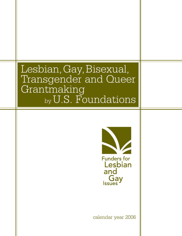# Lesbian,Gay,Bisexual, Transgender and Queer Grantmaking by U.S. Foundations



calendar year 2006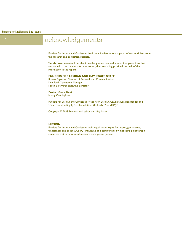## **1** acknowledgements

Funders for Lesbian and Gay Issues thanks our funders whose support of our work has made this research and publication possible.

We also want to extend our thanks to the grantmakers and nonprofit organizations that responded to our requests for information; their reporting provided the bulk of the information in the report.

#### **FUNDERS FOR LESBIAN AND GAY ISSUES STAFF**

Robert Espinoza, Director of Research and Communications Kim Ford, Operations Manager Karen Zelermyer, Executive Director

#### **Project Consultant**

Nancy Cunningham

Funders for Lesbian and Gay Issues, "Report on Lesbian, Gay, Bisexual, Transgender and Queer Grantmaking by U.S. Foundations (Calendar Year 2006)."

Copyright © 2008 Funders for Lesbian and Gay Issues

#### **MISSION:**

Funders for Lesbian and Gay Issues seeks equality and rights for lesbian, gay, bisexual, transgender and queer (LGBTQ) individuals and communities by mobilizing philanthropic resources that advance racial, economic and gender justice.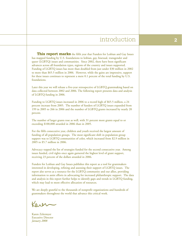## introduction **2**

**This report marks** the fifth year that Funders for Lesbian and Gay Issues has mapped funding by U.S. foundations to lesbian, gay, bisexual, transgender and queer (LGBTQ) issues and communities. Since 2002, there have been significant advances across all foundation types, regions of the country and issues supported. Funding of LGBTQ issues has more than doubled from just under \$30 million in 2002 to more than \$65.5 million in 2006. However, while the gains are impressive, support for these issues continues to represent a mere 0.1 percent of the total funding by U.S. foundations.

Later this year we will release a five-year retrospective of LGBTQ grantmaking based on data collected between 2002 and 2006. The following report presents data and analysis of LGBTQ funding in 2006.

Funding to LGBTQ issues increased in 2006 to a record high of \$65.5 million, a 24 percent increase from 2005. The number of funders of LGBTQ issues expanded from 199 in 2005 to 266 in 2006 and the number of LGBTQ grants increased by nearly 20 percent.

The number of larger grants rose as well, with 31 percent more grants equal to or exceeding \$100,000 awarded in 2006 than in 2005.

For the fifth consecutive year, children and youth received the largest amount of funding of all population groups. The most significant shift in population group support was to LGBTQ communities of color, which increased from \$2.9 million in 2005 to \$5.7 million in 2006.

Advocacy topped the list of strategies funded for the second consecutive year. Among issues funded, civil rights once again garnered the highest level of grant support, receiving 23 percent of the dollars awarded in 2006.

Funders for Lesbian and Gay Issues publishes this report as a tool for grantmakers interested in developing, refining and assessing their support of LGBTQ issues. The report also serves as a resource for the LGBTQ community and our allies, providing information to assist efforts in advocating for increased philanthropic support. The data and analysis in this report further helps to identify gaps and trends in LGBTQ funding, which may lead to more effective allocation of resources.

We are deeply grateful to the thousands of nonprofit organizations and hundreds of grantmakers throughout the world that advance this critical work.

Karen Zelermyer Executive Director *January 2008*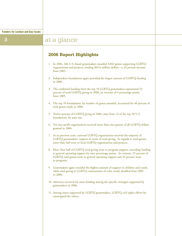## **3** at a glance

### **2006 Report Highlights**

- 1. In 2006, 266 U.S.-based grantmakers awarded 3,042 grants supporting LGBTQ organizations and projects, totaling \$65.6 million dollars—a 24 percent increase from 2005.
- 2. Independent foundations again provided the largest amount of LGBTQ funding in 2006.
- 3. The combined funding from the top 10 LGBTQ grantmakers represented 52 percent of total LGBTQ giving in 2006, an increase of 4 percentage points from 2005.
- 4. The top 10 foundations, by number of grants awarded, accounted for 46 percent of total grants made in 2006.
- 5. Twelve percent of LGBTQ giving in 2006 came from 12 of the top 50 U.S. foundations, by asset size.
- 6. Ten non-profit organizations received more than one-quarter of all LGBTQ dollars granted in 2006.
- 7. As in previous years, national LGBTQ organizations received the majority of LGBTQ grantmakers' support in terms of total giving. In regards to total grants, more than half went to local LGBTQ organizations and projects.
- 8. More than half of LGBTQ total giving went to program support, exceeding funding to general operating support by nine percentage points. In contrast, 52 percent of LGBTQ total grants went to general operating support and 43 percent went to programs.
- 9. Grantmakers again awarded the highest amount of support to children and youth, while total giving to LGBTQ communities of color nearly doubled from 2005 to 2006.
- 10. Advocacy received the most funding among the specific strategies supported by grantmakers in 2006.
- 11. Among issues supported by LGBTQ grantmakers, LGBTQ civil rights efforts far outstripped the others.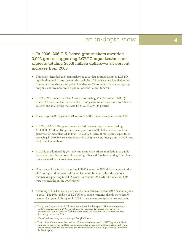## an in-depth view **4**

1. In 2006, 266 U.S.-based grantmakers awarded 3,042 grants supporting LGBTQ organizations and projects totaling \$65.6 million dollars—a 24 percent increase from 2005.

- This study identified 266<sup>1</sup> grantmakers in 2006 that awarded grants to LGBTQ organizations and issues; these funders included 129 independent foundations, 44 community foundations, 66 public foundations, 22 corporate foundations/giving programs and five non-profit organizations and "other" funders.<sup>2</sup>
- In 2006, 266 funders awarded 3,042 grants totaling \$65,656,965 to LGBTQ issues—67 more funders than in 2005. Total grants awarded increased by 482 (19 percent) and total giving increased by \$12,799,279 (24 percent).
- The average LGBTQ grant in 2006 was \$21,583; the median grant was \$5,000.
- In 2006, 162 LGBTQ grants were awarded that were equal to or exceeding \$100,000. Of these 162 grants, seven grants were \$500,000 and above and one grant was for more than \$1 million. In 2006, 31 percent more grants equal to or exceeding \$100,000 were awarded than in 2005; however, three grants in 2005 were for \$1 million or above.
- In 2006, an additional \$3,361,869 was awarded by private foundations to public foundations for the purposes of regranting. To avoid "double counting," this figure is not included in the total figures above.
- Ninety-one of the funders reporting LGBTQ grants in 2006 did not appear in the 2005 listing; of these grantmakers, 43 had never been identified through our research as supporting LGBTQ issues. In contrast, 24 LGBTQ funders in 2005 were not included in the 2006 report.<sup>3</sup>
- According to The Foundation Center, U.S. foundations awarded \$40.7 billion in grants in 2006. The \$65.7 million of LGBTQ total giving represents slightly more than 0.1 percent of all grant dollars given in 2006—the same percentage as in previous years.

<sup>1.</sup> The grantmaking activity of 492 funders was reviewed for this report; 204 foundations made no LGBTQ-specific grants in 2006. In addition, we researched 22 funders who had not yet published their annual report or filed their most recent 990 tax forms, thus we were unable to find their grants list for 2006.

<sup>2. &</sup>quot;Other" includes anonymous and unspecified gifts/donors.

<sup>3.</sup> These 24 foundations noted here include: 22 foundations that awarded LGBTQ grants in 2005 but made no such grants in 2006; one foundation that merged with another funder in 2005; and one foundation that had not published the data necessary to measure its grantmaking in time for the 2006 report.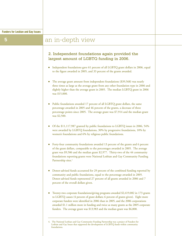## **5 a** an in-depth view

### 2. Independent foundations again provided the largest amount of LGBTQ funding in 2006.

- Independent foundations gave 61 percent of all LGBTQ grant dollars in 2006, equal to the figure awarded in 2005, and 33 percent of the grants awarded.
- The average grant amount from independent foundations (\$39,568) was nearly three times as large as the average grant from any other foundation type in 2006 and slightly higher than the average grant in 2005. The median LGBTQ grant in 2006 was \$15,000.
- Public foundations awarded 17 percent of all LGBTQ grant dollars, the same percentage awarded in 2005 and 46 percent of the grants, a decrease of three percentage points since 2005. The average grant was \$7,914 and the median grant was \$2,500.
- Of the \$11,117,987 granted by public foundations to LGBTQ issues in 2006, 54% were awarded by LGBTQ foundations, 30% by progressive foundations, 10% by women's foundations and 6% by religious public foundations.
- Forty-four community foundations awarded 13 percent of the grants and 6 percent of the grant dollars, comparable to the percentages awarded in 2005. The average grant was \$9,506 and the median grant \$2,977. Thirty-two of the 44 community foundations reporting grants were National Lesbian and Gay Community Funding Partnership sites.<sup>4</sup>
- Donor-advised funds accounted for 29 percent of the combined funding reported by community and public foundations, equal to the percentage awarded in 2005. Donor-advised funds represented 27 percent of all grants awarded in 2006 and 7 percent of the overall dollars given.
- Twenty-two corporate foundations/giving programs awarded \$2,419,082 in 173 grants to LGBTQ causes (4 percent of grant dollars; 6 percent of grants given). Eight more corporate funders were identified in 2006 than in 2005, and the 2006 corporations awarded \$1.1 million more in funding and twice as many grants as the 2005 corporate funders. The average grant was \$13,983 and the median grant was \$6,000.

<sup>4.</sup> The National Lesbian and Gay Community Funding Partnership was a project of Funders for Lesbian and Gay Issues that supported the development of LGBTQ funds within community foundations.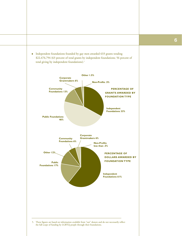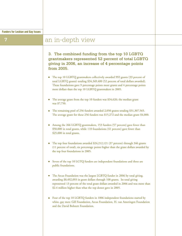|  | <b>Funders for Lesbian and Gay Issues</b> |  |  |  |  |  |
|--|-------------------------------------------|--|--|--|--|--|
|--|-------------------------------------------|--|--|--|--|--|

## **7 a** an in-depth view

3. The combined funding from the top 10 LGBTQ grantmakers represented 52 percent of total LGBTQ giving in 2006, an increase of 4 percentage points from 2005.

- The top 10 LGBTQ grantmakers collectively awarded 992 grants (33 percent of total LGBTQ grants) totaling \$34,349,400 (52 percent of total dollars awarded). These foundations gave 9 percentage points more grants and 4 percentage points more dollars than the top 10 LGBTQ grantmakers in 2005.
- The average grant from the top 10 funders was \$34,626; the median grant was \$7,750.
- The remaining pool of 256 funders awarded 2,050 grants totaling \$31,307,565. The average grant for these 256 funders was \$15,272 and the median grant \$4,000.
- Among the 266 LGBTQ grantmakers, 153 funders (57 percent) gave fewer than \$50,000 in total grants, while 110 foundations (41 percent) gave fewer than \$25,000 in total grants.
- The top four foundations awarded \$24,212,121 (37 percent) through 346 grants (11 percent of total), six percentage points higher than the grant dollars awarded by the top four foundations in 2005.
- Seven of the top 10 LGTQ funders are independent foundations and three are public foundations.
- The Arcus Foundation was the largest LGBTQ funder in 2006 by total giving, awarding \$8,492,093 in grant dollars through 108 grants. Its total giving represented 13 percent of the total grant dollars awarded in 2006 and was more than \$2.4 million higher than what the top donor gave in 2005.
- Four of the top 10 LGBTQ funders in 1006 independent foundations started by white, gay men: Gill Foundation, Arcus Foundation, H. van Ameringen Foundation and the David Bohnett Foundation.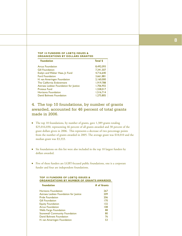#### **TOP 10 FUNDERS OF LGBTQ ISSUES & ORGANIZATIONS BY DOLLARS GRANTED**

| Total \$  |
|-----------|
| 8,492,093 |
| 7.341.507 |
| 4.716.640 |
| 3.661.881 |
| 2,160,000 |
| 1.919.788 |
| 1,706,955 |
| 1,558,017 |
| 1,516,714 |
| 1,275,805 |
|           |

### 4. The top 10 foundations, by number of grants awarded, accounted for 46 percent of total grants made in 2006.

- The top 10 foundations, by number of grants, gave 1,389 grants totaling \$25,016,030, representing 46 percent of all grants awarded and 38 percent of the grant dollars given in 2006. This represents a decrease of two percentage points from the number of grants awarded in 2005. The average grant was \$18,010 and the median grant was \$3,333.
- Six foundations on this list were also included in the top 10 largest funders by dollars awarded.
- Five of these funders are LGBT-focused public foundations, one is a corporate funder and four are independent foundations.

#### **TOP 10 FUNDERS OF LGBTQ ISSUES & ORGANIZATIONS BY NUMBER OF GRANTS AWARDED**

| <b>Foundation</b>                      | # of Grants |
|----------------------------------------|-------------|
| <b>Horizons Foundation</b>             | 267         |
| Astraea Lesbian Foundation for Justice | 209         |
| <b>Pride Foundation</b>                | 206         |
| <b>Gill Foundation</b>                 | 170         |
| <b>Equity Foundation</b>               | 132         |
| <b>Arcus Foundation</b>                | 108         |
| <b>Wells Fargo Foundation</b>          | 88          |
| <b>Stonewall Community Foundation</b>  | 80          |
| David Bohnett Foundation               | 76          |
| H. van Ameringen Foundation            | 53          |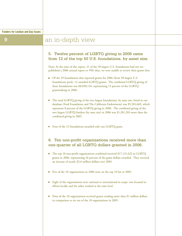## **9 a** an in-depth view

### 5. Twelve percent of LGBTQ giving in 2006 came from 12 of the top 50 U.S. foundations, by asset size.

Note: At the time of this report, 21 of the 50 largest U.S. foundations had not yet published a 2006 annual report or 990; thus, we were unable to review their grants lists.

- Of the 29 foundations that reported grants for 2006 (from 50 largest U.S. foundations pool), 12 awarded LGBTQ grants. The combined LGBTQ giving of these foundations was \$8,030,134, representing 12 percent of the LGBTQ grantmaking in 2006.
- The total LGBTQ giving of the two largest foundations, by asset size, listed in our database (Ford Foundation and The California Endowment) was \$5,581,669, which represents 8 percent of the LGBTQ giving in 2006. The combined giving of the two largest LGBTQ funders (by asset size) in 2006 was \$1,281,203 more than the combined giving in 2005.
- Four of the 12 foundations awarded only one LGBTQ grant.

### 6. Ten non-profit organizations received more than one-quarter of all LGBTQ dollars granted in 2006.

- The top 10 non-profit organizations combined received \$17,131,622 in LGBTQ grants in 2006, representing 26 percent of the grant dollars awarded. They received an increase of nearly \$2.6 million dollars over 2005.
- Five of the 10 organizations in 2006 were on the top 10 list in 2005.
- Eight of the organizations were national or international in scope, one focused its efforts locally and the other worked at the state level.
- Nine of the 10 organizations received grants totaling more than \$1 million dollars, in comparison to six out of the 10 organizations in 2005.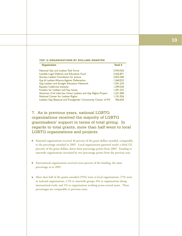### **10**

#### **TOP 10 ORGANIZATIONS BY DOLLARS GRANTED**

| <b>Organization</b>                                           | <b>Total \$</b> |
|---------------------------------------------------------------|-----------------|
| National Gay and Lesbian Task Force                           | 3,934,556       |
| Lambda Legal Defense and Education Fund                       | 2,262,871       |
| Astraea Lesbian Foundation for Justice                        | 2,053,500       |
| Gay & Lesbian Alliance Against Defamation                     | 1,560,022       |
| Gay, Lesbian and Straight Education Network                   | 1,451,224       |
| <b>Equality California Institute</b>                          | 1.299.550       |
| Funders for Lesbian and Gay Issues                            | 1,291,223       |
| American Civil Liberties Union Lesbian and Gay Rights Project | 1,221,000       |
| National Center for Lesbian Rights                            | 1,101,026       |
| Lesbian, Gay, Bisexual and Transgender Community Center of NY | 956.650         |

### 7. As in previous years, national LGBTQ organizations received the majority of LGBTQ grantmakers' support in terms of total giving. In regards to total grants, more than half went to local LGBTQ organizations and projects.

- National organizations received 46 percent of the grant dollars awarded, comparable to the percentage awarded in 2005. Local organizations garnered nearly a third (32 percent) of the grant dollars, down three percentage points from 2005. Funding to statewide organizations increased by two percentage points from the previous year.
- International organizations received seven percent of the funding, the same percentage as in 2005.
- More than half of the grants awarded (55%) went to local organizations, 27% went to national organizations, 11% to statewide groups, 6% to organizations doing international work, and 1% to organizations working across several states. These percentages are comparable to previous years.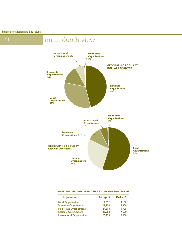**Funders for Lesbian and Gay Issues**

## **11 an** in-depth view



#### **AVERAGE / MEDIAN GRANT SIZE BY GEOGRAPHIC FOCUS**

| <b>Organization</b>                | Average \$ | Median \$ |
|------------------------------------|------------|-----------|
| <b>Local Organizations</b>         | 12.552     | 3.100     |
| <b>Statewide Organizations</b>     | 27.790     | 8,900     |
| <b>Multi-State Organizations</b>   | 24,604     | 5,725     |
| <b>National Organizations</b>      | 36.588     | 7,500     |
| <b>International Organizations</b> | 25.235     | 6.000     |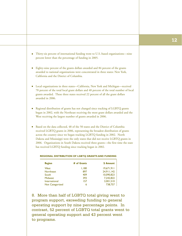- Thirty-six percent of international funding went to U.S.-based organizations—nine percent lower than the percentage of funding in 2005.
- Eighty-nine percent of the grants dollars awarded and 84 percent of the grants awarded to national organizations were concentrated in three states: New York, California and the District of Columbia.
- Local organizations in three states—California, New York and Michigan—received 70 percent of the total local grant dollars and 48 percent of the total number of local grants awarded. These three states received 22 percent of all the grant dollars awarded in 2006.
- Regional distribution of grants has not changed since tracking of LGBTQ grants began in 2002, with the Northeast receiving the most grant dollars awarded and the West receiving the largest number of grants awarded in 2006.
- Based on the data collected, 48 of the 50 states and the District of Columbia received LGBTQ grants in 2006, representing the broadest distribution of grants across the country since we began tracking LGBTQ funding in 2002. North Dakota and Mississippi were the only states that did not receive LGBTQ grants in 2006. Organizations in South Dakota received three grants—the first time the state has received LGBTQ funding since tracking began in 2002.

| <b>Region</b>    | # of Grants | \$ Amount  |
|------------------|-------------|------------|
| West             | 1,180       | 19,671,911 |
| <b>Northeast</b> | 897         | 24,911,142 |
| South            | 409         | 10.090.823 |
| <b>Midwest</b>   | 393         | 7.242.822  |
| International    | 157         | 3,001,510  |
| Not Categorized  | 6           | 738,757    |

#### **REGIONAL DISTRIBUTION OF LGBTQ GRANTS AND FUNDING**

8. More than half of LGBTQ total giving went to program support, exceeding funding to general operating support by nine percentage points. In contrast, 52 percent of LGBTQ total grants went to general operating support and 43 percent went to programs.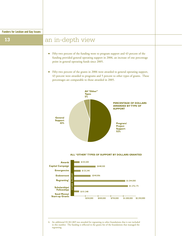## **13 a** an in-depth view

- Fifty-two percent of the funding went to program support and 43 percent of the funding provided general operating support in 2006, an increase of one percentage point in general operating funds since 2005.
- Fifty-two percent of the grants in 2006 were awarded to general operating support, 43 percent were awarded to programs and 5 percent to other types of grants. These percentages are comparable to those awarded in 2005.

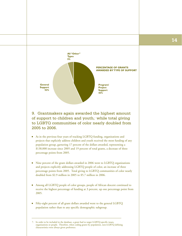

### 9. Grantmakers again awarded the highest amount of support to children and youth,7 while total giving to LGBTQ communities of color nearly doubled from 2005 to 2006.

- As in the previous four years of tracking LGBTQ funding, organizations and projects that explicitly address children and youth received the most funding of any population group, garnering 17 percent of the dollars awarded, representing a \$138,000 increase since 2005 and 19 percent of total grants, a decrease of three percentage points from 2005.
- Nine percent of the grant dollars awarded in 2006 went to LGBTQ organizations and projects explicitly addressing LGBTQ people of color, an increase of three percentage points from 2005. Total giving to LGBTQ communities of color nearly doubled from \$2.9 million in 2005 to \$5.7 million in 2006.
- Among all LGBTQ people of color groups, people of African descent continued to receive the highest percentage of funding at 3 percent, up one percentage point from 2005.
- Fifty-eight percent of all grant dollars awarded went to the general LGBTQ population rather than to any specific demographic subgroup.

<sup>7.</sup> In order to be included in the database, a grant had to target LGBTQ-specific issues, organizations or people. Therefore, when coding grants by population, non-LGBTQ defining characteristics were always given preference.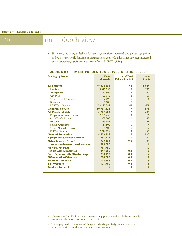## **15** an in-depth view

■ Since 2005, funding to lesbian-focused organizations increased two percentage points to five percent, while funding to organizations explicitly addressing gay men increased by one percentage point to 2 percent of total LGBTQ giving.

| <b>Funding by Issues</b>               | \$ Value<br>of Grants | % of Total<br><b>Dollars Granted</b> | # of<br><b>Grants</b> |
|----------------------------------------|-----------------------|--------------------------------------|-----------------------|
|                                        |                       |                                      |                       |
| <b>AII LGBTO</b>                       | 37,843,761            | 58                                   | 1,835                 |
| Lesbians                               | 3,070,250             | 5                                    | 239                   |
| Transgender                            | 1,377,592             | $\overline{2}$                       | 81                    |
| <b>Gay Men</b>                         | 1,182,042             | $\overline{2}$                       | 100                   |
| <b>Other Sexual Minority</b>           | 37,090                | $\Omega$                             | 6                     |
| <b>Bisexuals</b>                       | 6,000                 | $\Omega$                             |                       |
| LGBTO - General                        | 32,170,787            | 49                                   | 1,408                 |
| <b>Children &amp; Youth</b>            | 10,933,126            | 17                                   | 576                   |
| <b>All People of Color</b>             | 5,757,964             | 9                                    | 234                   |
| People of African Descent              | 2.255.750             | 3                                    | 75                    |
| Asian/Pacific Islanders                | 398,700               |                                      | 27                    |
| <b>Hispanic</b>                        | 375,487               |                                      | 28                    |
| <b>Native Americans</b>                | 11,500                | O                                    | $\overline{4}$        |
| <b>Other Named Groups</b>              | 4.500                 | $\Omega$                             | $\overline{2}$        |
| $POC - General$                        | 2,712,027             | 4                                    | 98                    |
| <b>General Population</b>              | 4,506,716             | 7                                    | 122                   |
| <b>Aging/Elderly/Senior Citizens</b>   | 1,857,527             | 3                                    | 82                    |
| <b>Other Named Group<sup>9</sup></b>   | 1,749,163             | 2.5                                  | 93                    |
| <b>Immigrants/Newcomers/Refugees</b>   | 1,015,000             |                                      | 16                    |
| <b>Military/Veterans</b>               | 915,750               |                                      | 32                    |
| <b>People with Disabilities</b>        | 247,650               | 0.4                                  | $\overline{10}$       |
| <b>Poor/Economically Disadvantaged</b> | 238,750               | 0.4                                  | $\overline{14}$       |
| <b>Offenders/Ex-Offenders</b>          | 204,000               | 0.3                                  | 12                    |
| <b>Women - General</b>                 | 148,858               | 0.2                                  | 9                     |
| <b>Sex Workers</b>                     | 123,700               | 0.2                                  | 6                     |
| <b>Adults - General</b>                | 0                     | $\bf{0}$                             | $\mathbf{0}$          |

#### **FUNDING BY PRIMARY POPULATION SERVED OR ADDRESSED**8

8. The figures in this table do not match the figures on page 4 because this table does not include grants where the primary population was unspecified.

9. The category listed as "Other Named Group" includes clergy and religious groups, educators, health care providers, social workers, grantmakers and journalists.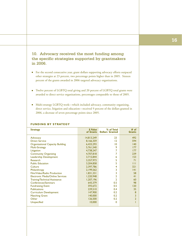### 10. Advocacy received the most funding among the specific strategies supported by grantmakers in 2006.

- For the second consecutive year, grant dollars supporting advocacy efforts outpaced other strategies at 23 percent, two percentage points higher than in 2005. Sixteen percent of the grants awarded in 2006 targeted advocacy organizations.
- Twelve percent of LGBTQ total giving and 20 percent of LGBTQ total grants were awarded to direct service organizations, percentages comparable to those of 2005.
- Multi-strategy LGBTQ work—which included advocacy, community organizing, direct service, litigation and education—received 9 percent of the dollars granted in 2006, a decrease of seven percentage points since 2005.

| <b>Strategy</b>                         | \$ Value<br>of Grants | % of Total<br><b>Dollars Granted</b> | # of<br><b>Grants</b> |
|-----------------------------------------|-----------------------|--------------------------------------|-----------------------|
|                                         |                       |                                      |                       |
| Advocacy                                | 14,813,249            | 23                                   | 492                   |
| Direct Service                          | 8,166,359             | 12                                   | 594                   |
| <b>Organizational Capacity Building</b> | 6,433,293             | 10                                   | 140                   |
| <b>Multi-Strategy</b>                   | 5,761,540             | 9                                    | 177                   |
| Litigation                              | 4,738,247             | 7                                    | 177                   |
| <b>Community Organizing</b>             | 4,707,818             | 7                                    | 239                   |
| Leadership Development                  | 3,715,844             | 6                                    | 153                   |
| Research                                | 3,357,973             | 5                                    | 71                    |
| <b>Public Education</b>                 | 3,204,858             | 5                                    | Ш                     |
| Culture                                 | 2,397,786             | 4                                    | 321                   |
| Philanthropy                            | 2,199,562             | 3                                    | 4                     |
| Film/Video/Radio Production             | 1,831,331             | 3                                    | 58                    |
| <b>Electronic Media/Online Services</b> | 1,220,948             | 2                                    | 41                    |
| <b>Training/Technical Assistance</b>    | 1,207,196             | 2                                    | 60                    |
| Conferences/Seminars                    | 643,379               | 0.5                                  | 98                    |
| <b>Fundraising Event</b>                | 593.672               | 0.5                                  | 120                   |
| <b>Publications</b>                     | 239,510               | 0.4                                  | 35                    |
| <b>Curriculum Development</b>           | 147,900               | 0.2                                  | 8                     |
| <b>Matching Grant</b>                   | 140,000               | 0.2                                  | 3                     |
| Other                                   | 126,500               | 0.2                                  | $\overline{2}$        |
| <b>Unspecified</b>                      | 10,000                | $\Omega$                             |                       |
|                                         |                       |                                      |                       |

#### **FUNDING BY STRATEGY**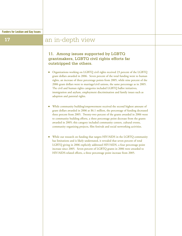### **17**

## an in-depth view

### 11. Among issues supported by LGBTQ grantmakers, LGBTQ civil rights efforts far outstripped the others.

- Organizations working on LGBTQ civil rights received 23 percent of the LGBTQ grant dollars awarded in 2006. Seven percent of the total funding went to human rights, an increase of three percentage points from 2005, while nine percent of the 2006 grant dollars went to marriage/civil unions, the same percentage as in 2005. The civil and human rights categories included LGBTQ ballot initiatives, immigration and asylum, employment discrimination and family issues such as adoption and parental rights.
- While community building/empowerment received the second highest amount of grant dollars awarded in 2006 at \$6.1 million, the percentage of funding decreased three percent from 2005. Twenty-two percent of the grants awarded in 2006 went to community building efforts, a three percentage point decrease from the grants awarded in 2005; this category included community centers, cultural events, community organizing projects, film festivals and social networking activities.
- While our research on funding that targets HIV/AIDS in the LGBTQ community has limitations and is likely understated, it revealed that seven percent of total LGBTQ giving in 2006 explicitly addressed HIV/AIDS, a four percentage point increase since 2005. Seven percent of LGBTQ grants in 2006 were awarded to HIV/AIDS-related efforts, a three percentage point increase from 2005.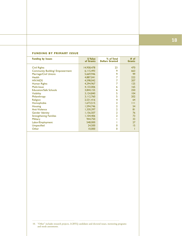| FUNDING BY PRIMARY ISSUE               |                       |                                      |                       |  |
|----------------------------------------|-----------------------|--------------------------------------|-----------------------|--|
| <b>Funding by Issues</b>               | \$ Value<br>of Grants | % of Total<br><b>Dollars Granted</b> | # of<br><b>Grants</b> |  |
| <b>Civil Rights</b>                    | 14,958,478            | 23                                   | 470                   |  |
| <b>Community Building/ Empowerment</b> | 6,115,493             | 9                                    | 663                   |  |
| Marriage/Civil Unions                  | 5,669,946             | 9                                    | 99                    |  |
| <b>Health</b>                          | 4,887,041             | 7                                    | 222                   |  |
| <b>HIV/AIDS</b>                        | 4,598,042             | 7                                    | 207                   |  |
| Human Rights                           | 4,294,967             | 7                                    | 125                   |  |
| Multi-Issue                            | 4,133,006             | 6                                    | 165                   |  |
| <b>Education/Safe Schools</b>          | 3,844,155             | 6                                    | 250                   |  |
| <b>Visibility</b>                      | 3,124,840             | 5                                    | 104                   |  |
| Philanthropy                           | 3,112,760             | 5                                    | 202                   |  |
| Religion                               | 2,531,416             | 4                                    | 64                    |  |
| Homophobia                             | 1,673,515             | $\overline{2}$                       | $\mathbf{H}$          |  |
| <b>Housing</b>                         | 1,594,746             | $\overline{2}$                       | 54                    |  |
| Anti-Violence                          | 1,330,397             | $\overline{2}$                       | 81                    |  |
| <b>Gender Identity</b>                 | 1,156,507             | $\overline{2}$                       | 76                    |  |
| <b>Strengthening Families</b>          | 1,104,406             | 2                                    | 73                    |  |
| <b>Military</b>                        | 944,750               |                                      | 33                    |  |
| Labor/Employment                       | 548,000               |                                      | 27                    |  |
| <b>Unspecified</b>                     | 24,500                | 0                                    | 15                    |  |
| Other                                  | 10,000                | 0                                    |                       |  |
|                                        |                       |                                      |                       |  |

#### **FUNDING BY PRIMARY ISSUE**

10. "Other" includes research projects, LGBTQ candidates and electoral issues, mentoring programs and needs assessments.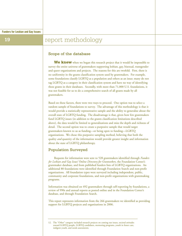## **19 report methodology**

### Scope of the database

We knew when we began this research project that it would be impossible to survey the entire universe of grantmakers supporting lesbian, gay, bisexual, transgender and queer organizations and projects. The reasons for this are twofold. First, there is no uniformity in the grants classification system used by grantmakers. For example, some foundations classify LGBTQ as a population and others as an issue; many do not tag LGBTQ as a category in their classification system and have no way of identifying these grants in their databases. Secondly, with more than 71,000 U.S. foundations, it was not feasible for us to do a comprehensive search of all grants made by all grantmakers.

Based on these factors, there were two ways to proceed. One option was to select a random sample of foundations to survey. The advantage of this methodology is that it would provide a statistically representative sample and the ability to generalize about the overall state of LGBTQ funding. The disadvantage is that, given how few grantmakers fund LGBTQ issues (in addition to the grants classification limitations described above), the data would be limited to generalizations and miss the depth and richness of detail. The second option was to create a purposive sample that would target grantmakers known to us as funding—or being open to funding—LGBTQ organizations. We chose this purposive sampling method, believing that both the quality *and* quantity of the information would provide greater insight and information about the state of LGBTQ philanthropy.

### Population Surveyed

Requests for information were sent to 528 grantmakers identified through *Funders for Lesbian and Gay Issues' Online Directory for Grantseekers*, the Foundation Center's grantmaker database, and from published funders lists of LGBTQ organizations. An additional 80 foundations were identified through Foundation Search and non-profit organizations. All foundation types were surveyed including independent, public, community and corporate foundations, and non-profit organizations with grantmaking programs.

Information was obtained on 492 grantmakers through self-reporting by foundations, a review of 990s and annual reports as posted online and in the Foundation Center's database, and through Foundation Search.

This report represents information from the 266 grantmakers we identified as providing support for LGBTQ projects and organizations in 2006.

<sup>12.</sup> The "Other" category included research projects on coming out issues, societal attitudes toward LGBTQ people, LGBTQ candidates, mentoring programs, youth in foster care, indigent youth, and needs assessments.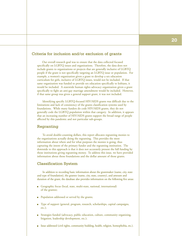### Criteria for inclusion and/or exclusion of grants

Our overall research goal was to ensure that the data collected focused specifically on LGBTQ issues and organizations. Therefore, the data does not include grants to organizations or projects that are generally inclusive of LGBTQ people if the grant is not specifically targeting an LGBTQ issue or population. For example, a women's organization given a grant to develop a sex education curriculum for girls, inclusive of LGBTQ issues, would not be included. If that same organization was funded to provide sex education specifically to lesbians, it would be included. A statewide human rights advocacy organization given a grant specifically to fight an anti-gay marriage amendment would be included. However, if that same group was given a general support grant, it was not included.

Identifying specific LGBTQ-focused HIV/AIDS grants was difficult due to the limitations and lack of consistency of the grants classification systems used by foundations. While many funders do code HIV/AIDS grants, they do not generally code the LGBTQ population within that category. In addition, it appears that an increasing number of HIV/AIDS grants support the broad range of people affected by this pandemic and not particular sub-groups.

### Regranting

To avoid double-counting dollars, this report allocates regranting monies to the organizations actually doing the regranting. This provides the most information about where and for what purposes the monies is going, thus capturing the intent of the primary funder and the regranting institution. The downside to this approach is that it does not accurately present the full funding by those institutions giving regranting money. To address this issue, we have provided information about those foundations and the dollar amount of those grants.

### Classification System

In addition to recording basic information about the grantmaker (name, city, state and type of foundation), the grantee (name, city, state, country), and amount and duration of the grant, the database also provides information on the following five areas:

- Geographic focus (local, state, multi-state, national, international) of the grantee;
- Population addressed or served by the grants;
- Type of support (general, program, research, scholarships, capital campaigns, etc.);
- Strategies funded (advocacy, public education, culture, community organizing, litigation, leadership development, etc.);
- Issue addressed (civil rights, community building, health, religion, homophobia, etc.).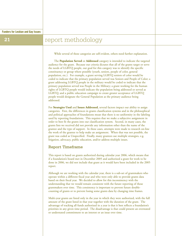## **21 report methodology**

While several of these categories are self-evident, others need further explanation.

The **Population Served** or **Addressed** category is intended to indicate the targeted audience for the grant. Because our criteria dictates that all of the grants target or serve the needs of LGBTQ people, our goal for this category was to identify the specific constituency or group where possible (youth, seniors, people of color, general population, etc.). For example, a grant serving LGBTQ seniors of color would be coded to indicate that the primary population served was Seniors and People of Color; a grant addressing LGBTQ people in the military would be coded to indicate that the primary population served was People in the Military; a grant working for the human rights of LGBTQ people would indicate the population being addressed or served as LGBTQ; and a public education campaign to create greater acceptance of LGBTQ people would designate the General Population as the primary audience being addressed.

For **Strategies Used** and **Issues Addressed,** several factors impact our ability to assign categories. First, the differences in grants classification systems and in the philosophical and political approaches of foundations mean that there is no uniformity in the labeling used by reporting foundations. This requires that we make a subjective assignment in order to best fit the grants into our classification system. Second, in many cases, the grants lists we received did not provide any information other than the name of the grantee and the type of support. In these cases, attempts were made to research on-line the work of the grantee to help make an assignment. When that was not possible, the grant was coded as Unspecified. Finally, many grantees use multiple strategies, e.g. litigation, advocacy, public education, and/or address multiple issues.

### Report Timeframe

This report is based on grants authorized during calendar year 2006, which means that if a foundation's board met in December 2005 and authorized a grant for work to be done in 2006, we did not include that grant as it would have been included in the 2005 report.

Although we are working with the calendar year, there is a sub-set of grantmakers who operate within a different fiscal year and who were only able to provide grants data based on their fiscal year. We decided to allow for this inconsistency with the understanding that we would remain consistent with the future reporting of those grantmakers over time. This consistency is important to prevent future doublecounting of grants or to prevent losing some grants data by changing time frames.

Multi-year grants are listed only in the year in which they were authorized, with the full amount of the grant listed in that year together with the duration of the grant. The advantage of tracking all funds authorized in a year is that it best reflects a foundation's priorities in any given time period. The disadvantage is that could present an overstated or understated commitment to an interest or an issue over time.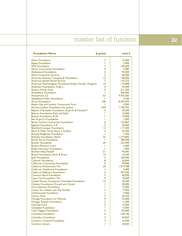## master list of funders **22**

| <b>Foundation Name</b>                                              | # grants        | total \$           |
|---------------------------------------------------------------------|-----------------|--------------------|
| <b>Adam Foundation</b>                                              | 7               | 15,000             |
| <b>Agape Foundation</b>                                             | T               | 2,000              |
| <b>AHS</b> Foundation                                               | 3               | 105,000            |
| <b>Akron Community Foundation</b>                                   | 4               | 5,980              |
| <b>Alphawood Foundation</b>                                         | 6               | 95,000             |
| <b>Altria Corporate Services</b>                                    | 2               | 60,000             |
| American Express Company & Foundation                               | 12              | 148,000            |
| American Jewish World Service                                       | $\overline{7}$  | 125,270            |
| American Psychological Foundation/Evelyn Hooker Program             | 10              | 134,898            |
| Andersen Foundation, Hugh J.,                                       | 4               | 55,000             |
| <b>Andrus Family Fund</b>                                           | 4               | 221,500            |
| <b>Annenberg Foundation</b>                                         | ı               | 306,000            |
| Anonymous (2)                                                       | 62<br>т         | 9,703,283          |
| Appelbaum-Kahn Foundation                                           | 108             | 2,500<br>8,492,093 |
| <b>Arcus Foundation</b><br>Aspen Gay and Lesbian Community Fund     | Ш               | 2,000              |
| Astraea Lesbian Foundation for Justice                              | 209             | 1,706,955          |
| Babson Charitable Foundation, Susan A, & Donald P.                  | 4               | 30,000             |
| Babson Foundation, Paul and Edith                                   | T               | 10,000             |
| Bastian Foundation, B.W.                                            | T               | 10,000             |
| Ben & Jerry's Foundation                                            | T               | 1,000              |
| <b>Berks County Community Foundation</b>                            | 6               | 133,863            |
| Bigelow Foundation, F.R.                                            | $\overline{2}$  | 30,000             |
| <b>Blachford-Cooper Foundation</b>                                  | 13              | 117,500            |
| Black & Fuller Fund, Harry S. & Allon                               | 4               | 52,500             |
| <b>Blowitz-Ridgeway Foundation</b>                                  | T               | 7,500              |
| <b>Bohnett Foundation, David</b>                                    | 76              | 1,375,805          |
| <b>Booth Ferris Foundation</b>                                      | Т               | 180,000            |
| <b>Boston Foundation</b>                                            | 24              | 333,900            |
| <b>Boston Women's Fund</b>                                          | T               | 2,000              |
| <b>Bright Mountain Foundation</b>                                   | T               | 1,000              |
| <b>Brother Help Thyself</b>                                         | 21              | 95,087             |
| Brown Foundation, Arch & Bruce                                      | $\overline{14}$ | 14,500             |
| <b>Bush Foundation</b>                                              | 3               | 180,000            |
| <b>Calamus Foundation</b>                                           | 8               | 50,000             |
| <b>California Community Foundation</b>                              | 9               | 79,840             |
| California Endowment, The                                           | 20              | 1,919,788          |
| California Healthcare Foundation                                    | Т               | 5,000              |
| California Wellness Foundation                                      | 4               | 707,500            |
| <b>Cameron Baird Foundation</b>                                     | $\overline{2}$  | 40,000             |
| Cape Cod Foundation, The                                            | 9               | 18,500             |
| Capital Group Companies Charitable Foundation                       | 14              | 18,200             |
| Chaiken Foundation, Donald and Carole                               | ı<br>T          | 30,000             |
| <b>Cisco Systems Foundation</b>                                     | 3               | 15,000<br>17,500   |
| Center for Lesbian and Gay Studies<br><b>Charlesmead Foundation</b> | T               | 5,000              |
| <b>Cherry Fund</b>                                                  | $\overline{7}$  | 24,350             |
| Chicago Foundation for Women                                        | 4               | 22,000             |
| Chicago Tribune Foundation                                          | $\overline{2}$  | 11,500             |
| <b>Chinook Fund</b>                                                 | $\overline{2}$  | 15,000             |
| <b>Cleveland Foundation</b>                                         | Т               | 15,000             |
| <b>Colin Higgins Foundation</b>                                     | 5               | 82,000             |
| Columbia Foundation                                                 | $\overline{2}$  | 238,140            |
| <b>Columbus Foundation</b>                                          | 3               | 45,827             |
| <b>Common Counsel Foundation</b>                                    | 3               |                    |
|                                                                     |                 | 10,500             |
| <b>Common Stream</b>                                                | T               | 25,000             |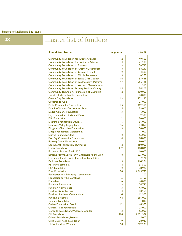**Funders for Lesbian and Gay Issues**

## **23** master list of funders

| <b>Foundation Name</b>                               | # grants        | total \$  |
|------------------------------------------------------|-----------------|-----------|
| <b>Community Foundation for Greater Atlanta</b>      | 2               | 49,600    |
| <b>Community Foundation for Southern Arizona</b>     | 4               | 21,200    |
| <b>Community Foundation of Broward</b>               | 3               | 36,720    |
| <b>Community Foundation of Greater Greensboro</b>    | 8               | 68,250    |
| <b>Community Foundation of Greater Memphis</b>       | 2               | 4,500     |
| <b>Community Foundation of Middle Tennessee</b>      | 3               | 6,300     |
| <b>Community Foundation of Santa Cruz County</b>     | $\overline{14}$ | 55,629    |
| Community Foundation of Southeastern Michigan        | 47              | 556,726   |
| <b>Community Foundation of Western Massachusetts</b> | ı.              | 1,315     |
| <b>Community Foundation Serving Boulder County</b>   | 15              | 34,507    |
| Community Technology Foundation of California        | 2               | 100,000   |
| Crawford Idema Family Foundation                     | т               | 10,000    |
| <b>Cream City Foundation</b>                         | 13              | 222,190   |
| <b>Crossroads Fund</b>                               | 7               | 23,000    |
| Dade Community Foundation                            | 15              | 202,350   |
| DaimlerChrysler Corporation Fund                     | 5               | 58,000    |
| <b>Dallas Women's Foundation</b>                     | 3               | 6,000     |
| Day Foundation, Doris and Victor                     | Ш               | 2,500     |
| <b>DBJ</b> Foundation                                | 2               | 90,000    |
| Dechman Foundation, David A.                         | 6               | 36,000    |
| Delaware Valley Legacy Fund                          | 45              | 14,850    |
| Diogenes Charitable Foundation                       | 3               | 30,000    |
| Dodge Foundation, Geraldine R.                       | Ш               | 1,000     |
| Durfee Foundation, The                               | 2               | 55,000    |
| East Bay Community Foundation                        | 4               | 28,000    |
| <b>Echoing Green Foundation</b>                      | ı               | 90,000    |
| <b>Educational Foundation of America</b>             | $\overline{2}$  | 160,000   |
| <b>Equity Foundation</b>                             | 132             | 168,836   |
| Escheated Estates Fund - D.C.                        | Ш               | 10,000    |
| Esmond Harmsworth 1997 Charitable Foundation         | 8               | 225,000   |
| Ethics and Excellence in Journalism Foundation       | Ш               | 7,221     |
| <b>Eychaner Foundation</b>                           | 9               | 14,306    |
| Fels Fund, Samuel S.                                 | 4               | 33,500    |
| <b>FISA Foundation</b>                               | 2               | 38,920    |
| <b>Ford Foundation</b>                               | 20              | 4,565,730 |
| <b>Foundation for Enhancing Communities</b>          | Ш               | 300       |
| <b>Foundation for the Carolinas</b>                  | 5               | 5,450     |
| <b>Frameline</b>                                     | 6               | 40,000    |
| <b>Freeman Foundation</b>                            | 8               | 74,750    |
| <b>Fund for Nonviolence</b>                          | 3               | 43,000    |
| Fund for Santa Barbara                               | 4               | 10,250    |
| <b>Fund for Southern Communities</b>                 | 4               | 12,500    |
| <b>Funding Exchange</b>                              | 44              | 266,000   |
| <b>Gannett Foundation</b>                            | т               | 830       |
| Geffen Foundation, David                             | 12              | 68,500    |
| <b>General Mills Foundation</b>                      | 3               | 25,000    |
| Gerbode Foundation, Wallace Alexander                | 3               | 55,000    |
| <b>Gill Foundation</b>                               | 170             | 7,591,507 |
| Gilman Foundation, Howard                            | Ш               | 5,000     |
| Girl's Best Friend Foundation                        | 9               | 78,933    |
| <b>Global Fund for Women</b>                         | 50              | 662,228   |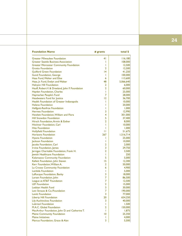| .           |
|-------------|
| -           |
| _____<br>__ |

| <b>Foundation Name</b>                          | # grants       | total \$  |
|-------------------------------------------------|----------------|-----------|
| <b>Greater Milwaukee Foundation</b>             | 41             | 116,180   |
| <b>Greater Seattle Business Association</b>     | T              | 108,000   |
| <b>Greater Worcester Community Foundation</b>   | Т              | 12,500    |
| <b>Grotto Foundation</b>                        | 2              | 12,500    |
| <b>Guilford Green Foundation</b>                | 14             | 41,250    |
| <b>Gund Foundation, George</b>                  | Т              | 100,000   |
| Haas Fund, Walter and Elise                     | 6              | 113,600   |
| Haas, Jr. Fund, Evelyn and Walter               | 48             | 5,066,640 |
| Halcyon Hill Foundation                         | 2              | 6,000     |
| Hauff, Robert V. & Dreeland, John F. Foundation | 2              | 60,000    |
| Hayden Foundation, Charles                      | Т              | 25,000    |
| Haymarket People's Fund                         | 7              | 28,000    |
| Headwaters Fund for Justice                     | 12             | 36,700    |
| Health Foundation of Greater Indianapolis       | Т              | 10,000    |
| <b>Helene Foundation</b>                        | T              | 20,000    |
| Helfgott-Renfroe Foundation                     | Т              | 1,000     |
| <b>Hermes Foundation</b>                        | 3              | 12,990    |
| Hewlett Foundation, William and Flora           | 4              | 301,000   |
| <b>Hill Snowdon Foundation</b>                  | 5              | 37,400    |
| Hirsch Foundation, Armin & Esther               | $\overline{2}$ | 8,000     |
| <b>Hitchner Foundation, Carl</b>                | T              | 10,000    |
| <b>Hite Foundation</b>                          | T              | 1,000     |
| <b>Hollyfield Foundation</b>                    | П              | 51,675    |
| <b>Horizons Foundation</b>                      | 267            | 1,516,714 |
| <b>Hyams Foundation</b>                         | L              | 25,000    |
| Jackson Foundation                              | Т              | 10,000    |
| Jacobs Foundation, Carl                         | 2              | 2,000     |
| Irvine Foundation, James                        | 3              | 29,750    |
| Jernigan Charitable Foundation, Frank H.        | $\overline{2}$ | 3,500     |
| Jewish Healthcare Foundation                    | Т              | 250       |
| Kalamazoo Community Foundation                  | 5              | 5,000     |
| Kellett Foundation, John Steven                 | 15             | 12,300    |
| Kerr Foundation, William A.                     | 2              | 50,000    |
| La Crosse Community Foundation                  | 6              | 4,900     |
| Lambda Foundation                               | T              | 5,000     |
| LaRocque Foundation, Banky                      | 3              | 18,000    |
| Larsen Foundation, John                         | 7              | 86,500    |
| League at AT&T Foundation                       | 7              | 12,500    |
| <b>LEF</b> Foundation                           | 2              | 15,000    |
| Lesbian Health Fund                             | 3              | 30,000    |
| Levi Strauss & Co./Foundation                   | 7              | 190,000   |
| <b>Levitt Foundation</b>                        | 3              | 77,000    |
| <b>Liberty Hill Foundation</b>                  | 20             | 654,250   |
| <b>Lily Auchincloss Foundation</b>              | 3              | 40,000    |
| <b>Lubrizol Foundation</b>                      | Ш              | 1,500     |
| M.A.C. Global Foundation                        | 2              | 150,000   |
| MacArthur Foundation, John D. and Catherine T.  | Т              | 1,875     |
| <b>Maine Community Foundation</b>               | 10             | 25,350    |
| <b>Maine Initiatives</b>                        | ı              | 4,000     |
| Marcus Foundation, Grace & Alan                 | 3              | 5,500     |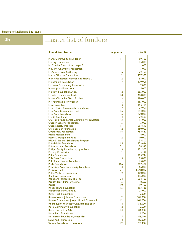### **Funders for Lesbian and Gay Issues**

# **25** master list of funders

| <b>Foundation Name</b>                                         | # grants       | total \$           |
|----------------------------------------------------------------|----------------|--------------------|
| <b>Marin Community Foundation</b>                              | П              | 99,700             |
| <b>Martag Foundation</b>                                       | L              | 15,000             |
| McCrindle Foundation, Joseph F.                                | ı              | 1,000              |
| McCune Charitable Foundation                                   | ı              | 3,000              |
| <b>McKenzie River Gathering</b>                                | 6              | 22,750             |
| <b>Mertz Gilmore Foundation</b>                                | 2              | 257,500            |
| Miller Foundation, Herman and Frieda L.                        | $\overline{2}$ | 55,000             |
| <b>Minneapolis Foundation</b>                                  | $\overline{7}$ | 139,951            |
| Montana Community Foundation                                   | Т              | 2,000              |
|                                                                | L              |                    |
| Morningstar Foundation                                         |                | 5,000              |
| Morrow Foundation, Allan                                       | 2              | 385,000            |
| Mossier Foundation, Kevin J.                                   | 10             | 480,000            |
| Morse Charitable Trust, Elizabeth                              | 3              | 180,000            |
| Ms. Foundation for Women                                       | 6              | 165,000            |
| New Israel Fund                                                | 3              | 185,150            |
| New Mexico Community Foundation                                | 7              | 27,950             |
| <b>New York Community Trust</b>                                | 15             | 694,000            |
| New York Foundation                                            | 5              | 220,000            |
| North Star Fund                                                | 4              | 22,500             |
| Oak Park-River Forest Community Foundation                     | 3<br>5         | 11,000<br>5,000    |
| <b>Open Meadows Foundation</b>                                 | П              | 697,613            |
| <b>Open Society Institute</b><br><b>Otto Bremer Foundation</b> | $\overline{2}$ | 150,000            |
| <b>Overbrook Foundation</b>                                    | 16             | 758,480            |
| Pacific Pioneer Fund                                           | Т              | 4,000              |
| <b>Peace Development Fund</b>                                  | 2              | 10,000             |
| PFLAG National Scholarship Program                             | Ш              | 38,500             |
| Philadelphia Foundation                                        | 15             | 123,624            |
| <b>Philanthrofund Foundation</b>                               | 21             | 58,945             |
| Phillips Family Foundation, Jay & Rose                         | 9              | 171,500            |
| <b>Playboy Foundation</b>                                      | 2              | 3,121              |
| <b>Point Foundation</b>                                        | Т              | 485,744            |
| <b>Polk Bros Foundation</b>                                    | 3              | 85,000             |
| Polo Ralph Lauren Foundation                                   | Т              | 15,000             |
| <b>Pride Foundation</b>                                        | 206            | 387,461            |
| Princeton Area Community Foundation                            | 3              | 66,000             |
| <b>Proteus Fund</b>                                            | 21             | 1,558,017          |
| <b>Public Welfare Foundation</b>                               | 2<br>T         | 100,000            |
| <b>Rainbow Foundation</b>                                      | 34             | 115,000<br>604,700 |
| Rapoport Foundation, The Paul<br>Reaugh Trust Fund, Ernest O.  | 5              | 8,250              |
| <b>Resist</b>                                                  | 10             | 19,100             |
| <b>Rhode Island Foundation</b>                                 | 15             | 193,728            |
| Richardson Fund, Anne S.                                       | Т              | 25,000             |
| <b>River Rock Foundation</b>                                   | L              | 5,000              |
| Robert Wood Johnson Foundation                                 | 2              | 301,000            |
| Roblee Foundation, Joseph H. and Florence A.                   | $\overline{2}$ | 141,000            |
| Roche Relief Foundation, Edward and Ellen                      | 4              | 55,000             |
|                                                                | 2              |                    |
| <b>Rose Community Foundation</b>                               |                | 10,500             |
| Rose Foundation, Adam R.                                       | 14             | 304,000            |
| <b>Rosenberg Foundation</b>                                    | Ш              | 1,000              |
| Rosenstein Foundation, Anita May                               | 5              | 42,040             |
| <b>Saint Paul Foundation</b>                                   | 2              | 80,000             |
| Samara Foundation of Vermont                                   | 12             | 27,300             |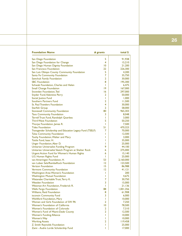### **26**

| <b>Foundation Name</b>                                              | # grants       | total \$  |
|---------------------------------------------------------------------|----------------|-----------|
| San Diego Foundation                                                | 5              | 91,938    |
| San Diego Foundation for Change                                     | 4              | 15,210    |
| San Diego Human Dignity Foundation                                  | 10             | 21,200    |
| San Francisco Foundation                                            | 22             | 226,300   |
| San Luis Obispo County Community Foundation                         | 5              | 4,200     |
| Santa Fe Community Foundation                                       | $\overline{7}$ | 35,750    |
| Sawchuk Family Foundation                                           | 2              | 30,000    |
| <b>SBC</b> Foundation                                               | 8              | 195,300   |
| Schwab Foundation, Charles and Helen                                | I              | 6,475     |
| <b>Small Change Foundation</b>                                      | 19             | 167,000   |
| Snowden Foundation, Ted                                             | 16             | 297,000   |
| Snyder Fund, Valentine Perry                                        | 2              | 50,000    |
| Social Justice Fund                                                 | Т              | 1,000     |
| Southern Partners Fund                                              | 2              | 11,500    |
| <b>St. Paul Travelers Foundation</b>                                | 4              | 30,000    |
| <b>Starfish Group</b>                                               | $\overline{2}$ | 58,000    |
| <b>Stonewall Community Foundation</b>                               | 80             | 965,303   |
| <b>Taos Community Foundation</b>                                    | 3              | 8,048     |
| Terrell Trust Fund, Randolph Querbes                                | I              | 3,000     |
| <b>Third Wave Foundation</b>                                        | 5              | 50,250    |
| Thorpe Foundation, James R.                                         | Т              | 7,500     |
| <b>Tides Foundation</b>                                             | 51             | 470,323   |
| Transgender Scholarship and Education Legacy Fund (TSELF)           | 7              | 70,000    |
| <b>Tulsa Community Foundation</b>                                   | Ш              | 12,500    |
| Tuohy Foundation, Walter and Mary                                   | L              | 3,000     |
| Tuttle Fund, Isaac H.                                               | I              | 35,000    |
| Unger Foundation, Aber D.                                           | L              | 25,000    |
|                                                                     | 9              | 44,100    |
| Unitarian Universalist Funding Program                              | 6              |           |
| Unitarian Universalist Veatch Program at Shelter Rock               | 6              | 275,000   |
| <b>Urgent Action Fund for Women's Human Rights</b>                  | I              | 15,140    |
| U.S. Human Rights Fund                                              | 53             | 25,000    |
| van Ameringen Foundation, H.<br>van Loben Sels/RembeRock Foundation | 12             | 2,160,000 |
| <b>Verizon Foundation</b>                                           | 15             | 123,500   |
|                                                                     |                | 86,988    |
| Vermont Community Foundation                                        | 12             | 41,121    |
| <b>Washington Area Women's Foundation</b>                           | I              | 200       |
| <b>Washington Mutual Foundation</b>                                 | I              | 4,675     |
| Watanabe Charitable Trust, Terry K.                                 | 7              | 30,750    |
| <b>Weeden Foundation</b>                                            | 3              | 15,000    |
| Weisman Art Foundation, Frederick R.                                | I              | 21,136    |
| <b>Wells Fargo Foundation</b>                                       | 88             | 1,001,356 |
| Williams, Reid Foundation                                           | 8              | 61,908    |
| isconsin Community Fund                                             | 3              | 6,000     |
| <b>Wohlford Foundation, Mary</b>                                    | т              | 10,000    |
| Women and Girls Foundation of SW PA                                 | 2              | 7,250     |
| Women's Foundation of California                                    | 10             | 78,500    |
| Women's Foundation of Colorado                                      | 2              | 7,310     |
| Women's Fund of Miami-Dade County                                   | 2              | 12,500    |
| <b>Women's Funding Alliance</b>                                     | L              | 10,000    |
| <b>Women's Way</b>                                                  | T              | 10,000    |
| <b>Working Assets</b>                                               | $\overline{2}$ | 119,458   |
| Z. Smith Reynolds Foundation                                        | I              | 25,000    |
| Zami - Audre Lorde Scholarship Fund                                 | L              | 17,000    |